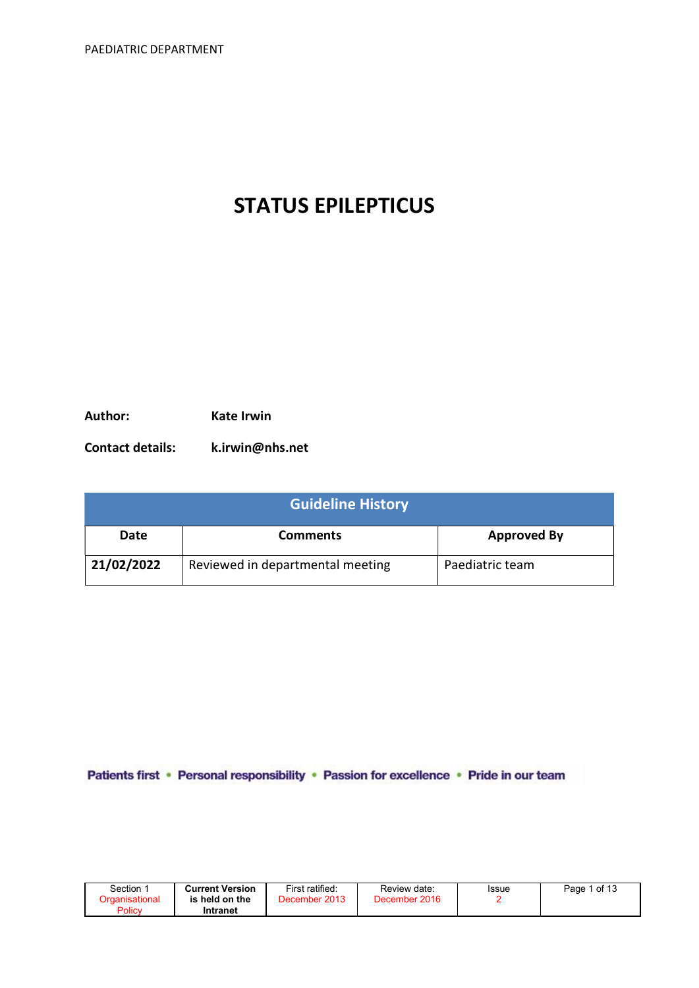# STATUS EPILEPTICUS

Author: Kate Irwin

Contact details: k.irwin@nhs.net

| <b>Guideline History</b> |                                  |                    |  |  |  |
|--------------------------|----------------------------------|--------------------|--|--|--|
| Date                     | <b>Comments</b>                  | <b>Approved By</b> |  |  |  |
| 21/02/2022               | Reviewed in departmental meeting | Paediatric team    |  |  |  |

Patients first • Personal responsibility • Passion for excellence • Pride in our team

| Section               | <b>Current Version</b> | First ratified: | Review date:  | <b>Issue</b> | 1 of 13<br>Page |
|-----------------------|------------------------|-----------------|---------------|--------------|-----------------|
| <b>Organisational</b> | is held on the         | December 2013   | December 2016 |              |                 |
| Policy                | Intranet               |                 |               |              |                 |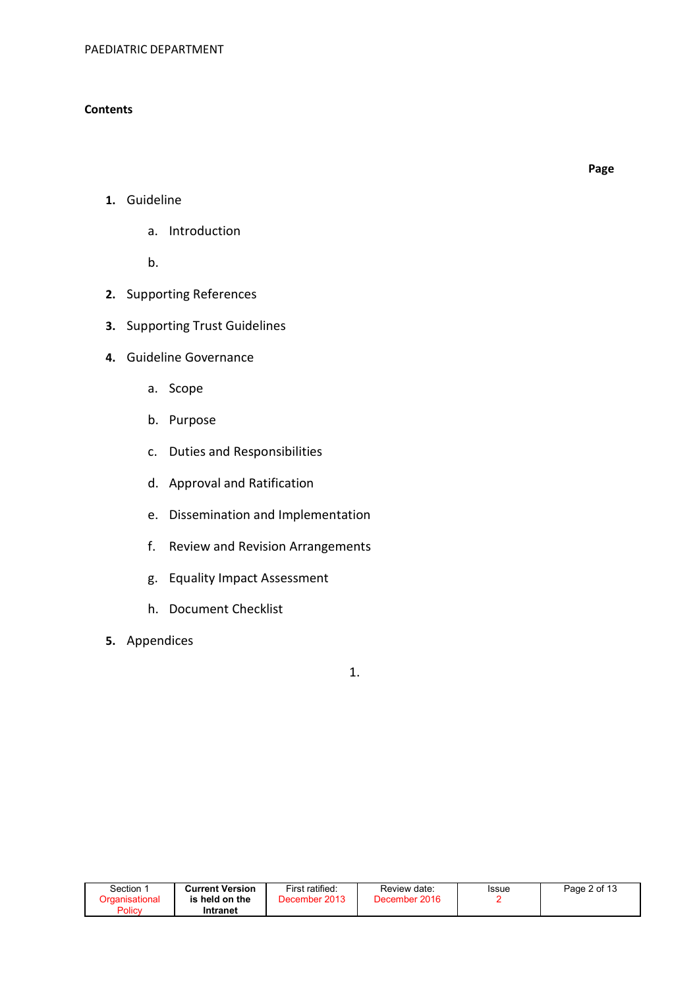#### **Contents**

Page

- 1. Guideline
	- a. Introduction

b.

- 2. Supporting References
- 3. Supporting Trust Guidelines
- 4. Guideline Governance
	- a. Scope
	- b. Purpose
	- c. Duties and Responsibilities
	- d. Approval and Ratification
	- e. Dissemination and Implementation
	- f. Review and Revision Arrangements
	- g. Equality Impact Assessment
	- h. Document Checklist
- 5. Appendices

1.

| Section               | Current Version | First ratified: | Review date:  | Issue | Page 2 of 13 |
|-----------------------|-----------------|-----------------|---------------|-------|--------------|
| <b>Organisational</b> | is held on the  | December 2013   | December 2016 |       |              |
| Policy                | Intranet        |                 |               |       |              |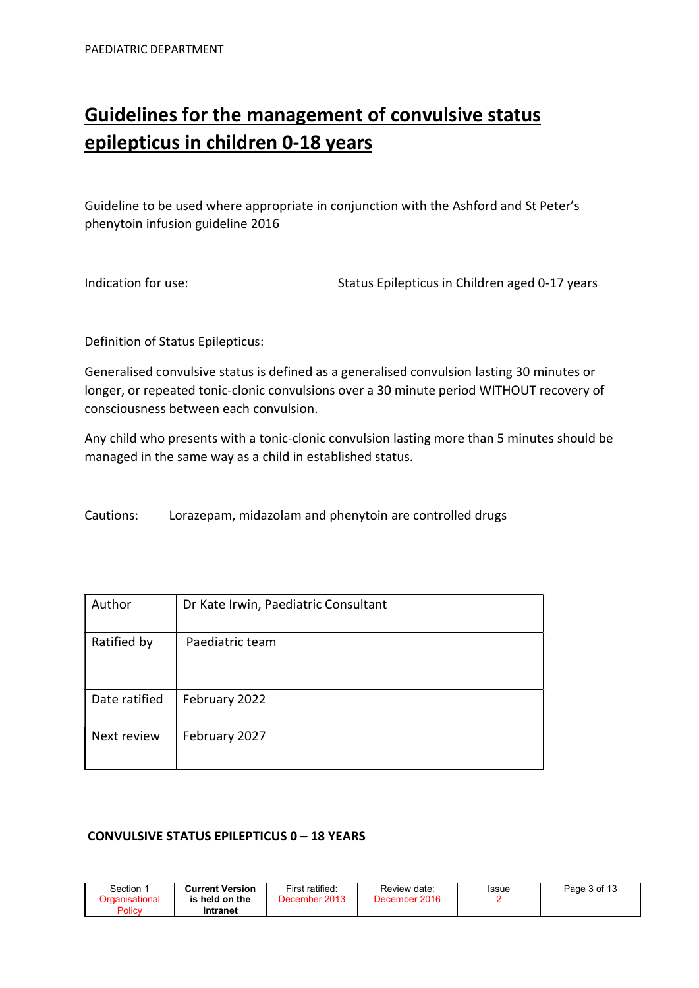# Guidelines for the management of convulsive status epilepticus in children 0-18 years

Guideline to be used where appropriate in conjunction with the Ashford and St Peter's phenytoin infusion guideline 2016

Indication for use: Status Epilepticus in Children aged 0-17 years

Definition of Status Epilepticus:

Generalised convulsive status is defined as a generalised convulsion lasting 30 minutes or longer, or repeated tonic-clonic convulsions over a 30 minute period WITHOUT recovery of consciousness between each convulsion.

Any child who presents with a tonic-clonic convulsion lasting more than 5 minutes should be managed in the same way as a child in established status.

Cautions: Lorazepam, midazolam and phenytoin are controlled drugs

| Author        | Dr Kate Irwin, Paediatric Consultant |
|---------------|--------------------------------------|
| Ratified by   | Paediatric team                      |
| Date ratified | February 2022                        |
| Next review   | February 2027                        |

## CONVULSIVE STATUS EPILEPTICUS 0 – 18 YEARS

| Section<br>Policy | <b>Current Version</b><br>is held on the<br>Intranet | First ratified:<br>December 2013 | Review date:<br>December 2016 | Issue | Page 3 of 13 |
|-------------------|------------------------------------------------------|----------------------------------|-------------------------------|-------|--------------|
|-------------------|------------------------------------------------------|----------------------------------|-------------------------------|-------|--------------|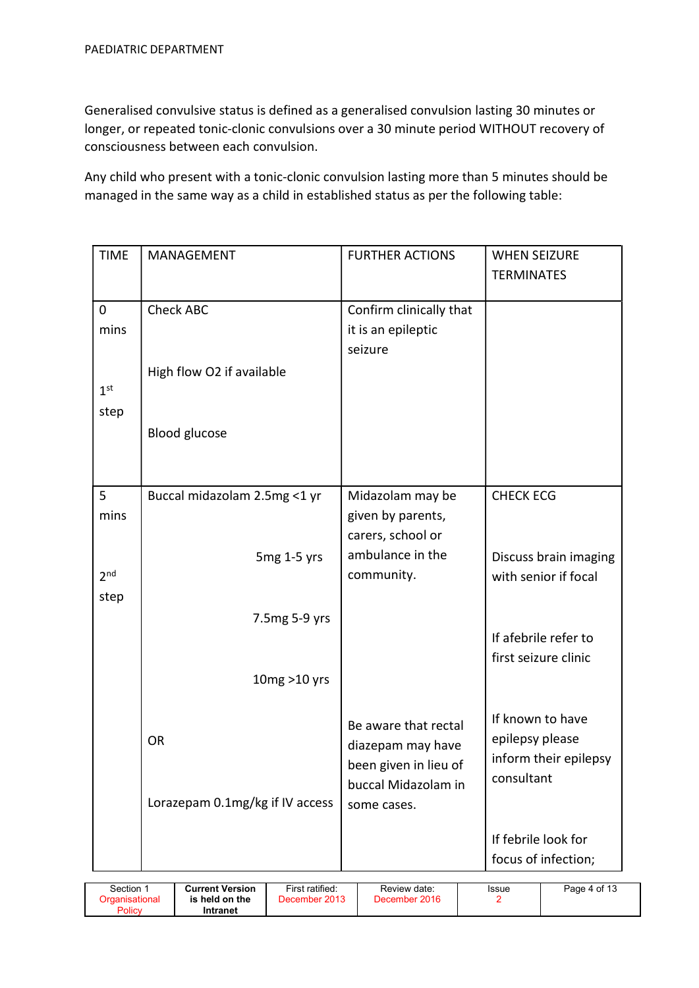Generalised convulsive status is defined as a generalised convulsion lasting 30 minutes or longer, or repeated tonic-clonic convulsions over a 30 minute period WITHOUT recovery of consciousness between each convulsion.

Any child who present with a tonic-clonic convulsion lasting more than 5 minutes should be managed in the same way as a child in established status as per the following table:

| <b>TIME</b>     | MANAGEMENT                      | <b>FURTHER ACTIONS</b>  | <b>WHEN SEIZURE</b>   |
|-----------------|---------------------------------|-------------------------|-----------------------|
|                 |                                 |                         | <b>TERMINATES</b>     |
| $\pmb{0}$       | <b>Check ABC</b>                | Confirm clinically that |                       |
| mins            |                                 | it is an epileptic      |                       |
|                 |                                 | seizure                 |                       |
|                 | High flow O2 if available       |                         |                       |
| 1 <sup>st</sup> |                                 |                         |                       |
| step            |                                 |                         |                       |
|                 |                                 |                         |                       |
|                 | <b>Blood glucose</b>            |                         |                       |
|                 |                                 |                         |                       |
| 5               | Buccal midazolam 2.5mg <1 yr    | Midazolam may be        | <b>CHECK ECG</b>      |
| mins            |                                 | given by parents,       |                       |
|                 |                                 | carers, school or       |                       |
|                 | 5mg 1-5 yrs                     | ambulance in the        | Discuss brain imaging |
| 2 <sub>nd</sub> |                                 | community.              | with senior if focal  |
| step            |                                 |                         |                       |
|                 | 7.5mg 5-9 yrs                   |                         |                       |
|                 |                                 |                         | If afebrile refer to  |
|                 |                                 |                         | first seizure clinic  |
|                 | 10mg > 10 yrs                   |                         |                       |
|                 |                                 |                         |                       |
|                 |                                 |                         | If known to have      |
|                 | <b>OR</b>                       | Be aware that rectal    | epilepsy please       |
|                 |                                 | diazepam may have       | inform their epilepsy |
|                 |                                 | been given in lieu of   | consultant            |
|                 | Lorazepam 0.1mg/kg if IV access | buccal Midazolam in     |                       |
|                 |                                 | some cases.             |                       |
|                 |                                 |                         | If febrile look for   |
|                 |                                 |                         | focus of infection;   |
|                 |                                 |                         |                       |

| Section 1      | <b>Current Version</b> | First ratified: | Review date:  | Issue | Page 4 of 13 |
|----------------|------------------------|-----------------|---------------|-------|--------------|
| Organisational | is held on the         | December 2013   | December 2016 |       |              |
| Policy         | Intranet               |                 |               |       |              |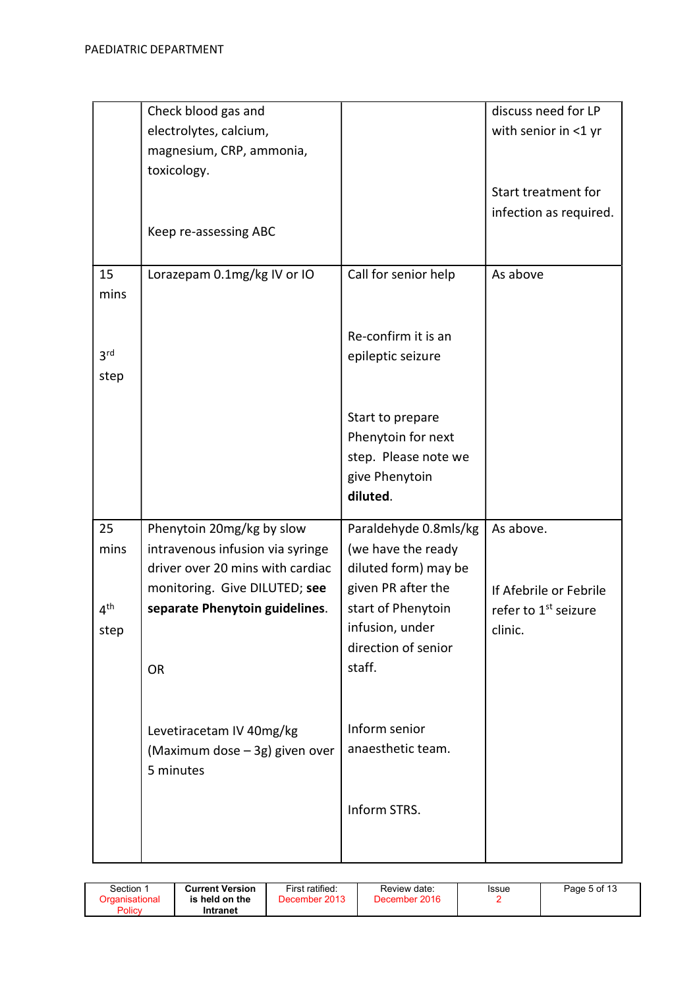|                 | Check blood gas and              |                       | discuss need for LP              |
|-----------------|----------------------------------|-----------------------|----------------------------------|
|                 | electrolytes, calcium,           |                       | with senior in <1 yr             |
|                 | magnesium, CRP, ammonia,         |                       |                                  |
|                 | toxicology.                      |                       |                                  |
|                 |                                  |                       | Start treatment for              |
|                 |                                  |                       | infection as required.           |
|                 | Keep re-assessing ABC            |                       |                                  |
|                 |                                  |                       |                                  |
| 15              | Lorazepam 0.1mg/kg IV or IO      | Call for senior help  | As above                         |
| mins            |                                  |                       |                                  |
|                 |                                  |                       |                                  |
|                 |                                  | Re-confirm it is an   |                                  |
| 3 <sup>rd</sup> |                                  | epileptic seizure     |                                  |
| step            |                                  |                       |                                  |
|                 |                                  |                       |                                  |
|                 |                                  | Start to prepare      |                                  |
|                 |                                  | Phenytoin for next    |                                  |
|                 |                                  | step. Please note we  |                                  |
|                 |                                  | give Phenytoin        |                                  |
|                 |                                  | diluted.              |                                  |
|                 |                                  |                       |                                  |
| 25              | Phenytoin 20mg/kg by slow        | Paraldehyde 0.8mls/kg | As above.                        |
| mins            | intravenous infusion via syringe | (we have the ready    |                                  |
|                 | driver over 20 mins with cardiac | diluted form) may be  |                                  |
|                 | monitoring. Give DILUTED; see    | given PR after the    | If Afebrile or Febrile           |
| 4 <sup>th</sup> | separate Phenytoin guidelines.   | start of Phenytoin    | refer to 1 <sup>st</sup> seizure |
| step            |                                  | infusion, under       | clinic.                          |
|                 |                                  | direction of senior   |                                  |
|                 | <b>OR</b>                        | staff.                |                                  |
|                 |                                  |                       |                                  |
|                 |                                  |                       |                                  |
|                 | Levetiracetam IV 40mg/kg         | Inform senior         |                                  |
|                 | (Maximum dose - 3g) given over   | anaesthetic team.     |                                  |
|                 | 5 minutes                        |                       |                                  |
|                 |                                  |                       |                                  |
|                 |                                  | Inform STRS.          |                                  |
|                 |                                  |                       |                                  |
|                 |                                  |                       |                                  |

| Section $\dot{}$<br>Drɑanisational<br>Policy | <b>Current Version</b><br>held on the نا<br>is<br>Intranet | First ratified:<br>December 2013 | Review date:<br>December 2016 | Issue | Page 5 of 13 |
|----------------------------------------------|------------------------------------------------------------|----------------------------------|-------------------------------|-------|--------------|
|----------------------------------------------|------------------------------------------------------------|----------------------------------|-------------------------------|-------|--------------|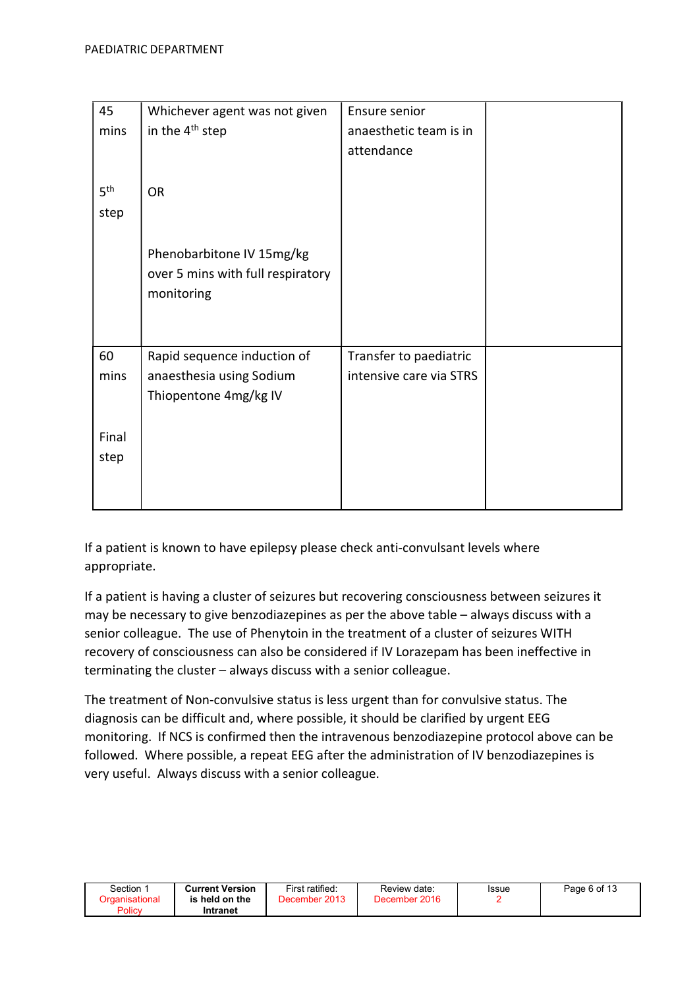| 45              | Whichever agent was not given     | Ensure senior           |  |
|-----------------|-----------------------------------|-------------------------|--|
| mins            | in the 4 <sup>th</sup> step       | anaesthetic team is in  |  |
|                 |                                   | attendance              |  |
|                 |                                   |                         |  |
|                 |                                   |                         |  |
| 5 <sup>th</sup> | <b>OR</b>                         |                         |  |
| step            |                                   |                         |  |
|                 |                                   |                         |  |
|                 | Phenobarbitone IV 15mg/kg         |                         |  |
|                 | over 5 mins with full respiratory |                         |  |
|                 | monitoring                        |                         |  |
|                 |                                   |                         |  |
|                 |                                   |                         |  |
|                 |                                   |                         |  |
| 60              | Rapid sequence induction of       | Transfer to paediatric  |  |
| mins            | anaesthesia using Sodium          | intensive care via STRS |  |
|                 | Thiopentone 4mg/kg IV             |                         |  |
|                 |                                   |                         |  |
| Final           |                                   |                         |  |
| step            |                                   |                         |  |
|                 |                                   |                         |  |
|                 |                                   |                         |  |
|                 |                                   |                         |  |

If a patient is known to have epilepsy please check anti-convulsant levels where appropriate.

If a patient is having a cluster of seizures but recovering consciousness between seizures it may be necessary to give benzodiazepines as per the above table – always discuss with a senior colleague. The use of Phenytoin in the treatment of a cluster of seizures WITH recovery of consciousness can also be considered if IV Lorazepam has been ineffective in terminating the cluster – always discuss with a senior colleague.

The treatment of Non-convulsive status is less urgent than for convulsive status. The diagnosis can be difficult and, where possible, it should be clarified by urgent EEG monitoring. If NCS is confirmed then the intravenous benzodiazepine protocol above can be followed. Where possible, a repeat EEG after the administration of IV benzodiazepines is very useful. Always discuss with a senior colleague.

| Section | <b>Current Version</b> | First ratified: | Review date:  | <b>Issue</b> | Page 6 of 13 |
|---------|------------------------|-----------------|---------------|--------------|--------------|
| Policy  | is held on the         | December 2013   | December 2016 |              |              |
|         | Intranet               |                 |               |              |              |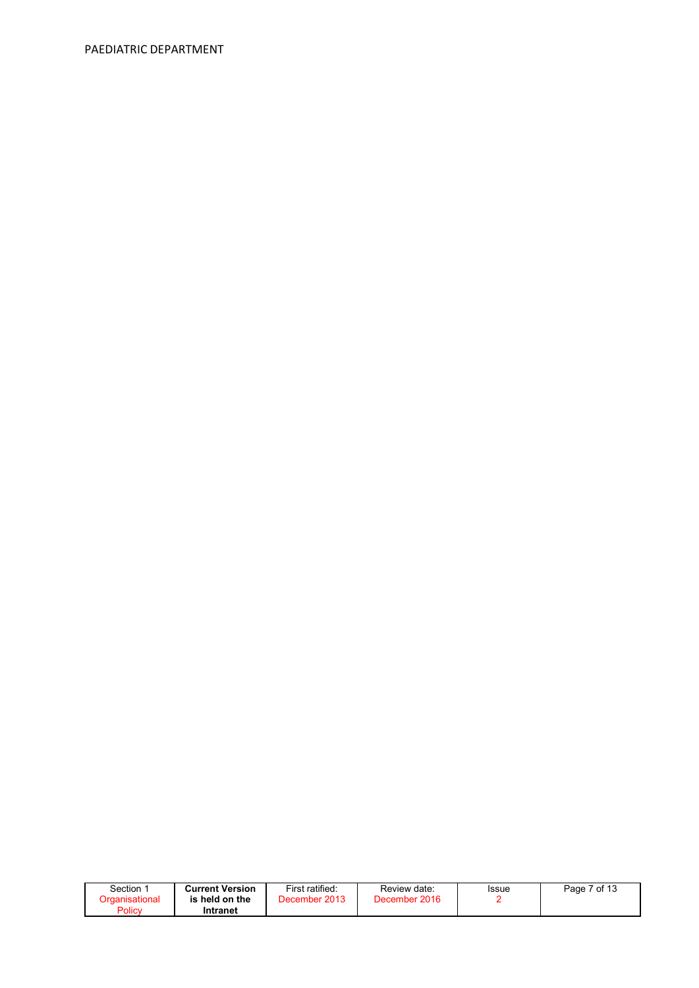#### PAEDIATRIC DEPARTMENT

| Section 1      | <b>Current Version</b> | First ratified: | Review date:  | <b>Issue</b> | Page 7 of 13 |
|----------------|------------------------|-----------------|---------------|--------------|--------------|
| Organisational | is held on the         | December 2013   | December 2016 |              |              |
| Policy         | Intranet               |                 |               |              |              |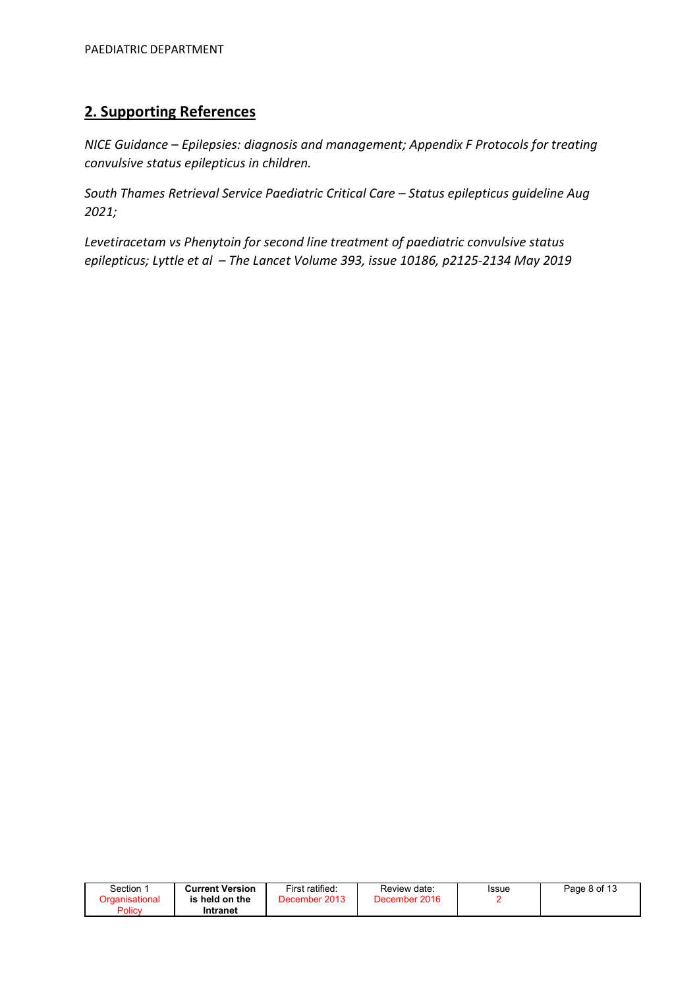## 2. Supporting References

NICE Guidance – Epilepsies: diagnosis and management; Appendix F Protocols for treating convulsive status epilepticus in children.

South Thames Retrieval Service Paediatric Critical Care – Status epilepticus guideline Aug 2021;

Levetiracetam vs Phenytoin for second line treatment of paediatric convulsive status epilepticus; Lyttle et al – The Lancet Volume 393, issue 10186, p2125-2134 May 2019

| Section        | <b>Current Version</b> | First ratified: | Review date:  | Issue | Page 8 of 13 |
|----------------|------------------------|-----------------|---------------|-------|--------------|
| ിrganisational | is held on the         | December 2013   | December 2016 |       |              |
| Policy         | Intranet               |                 |               |       |              |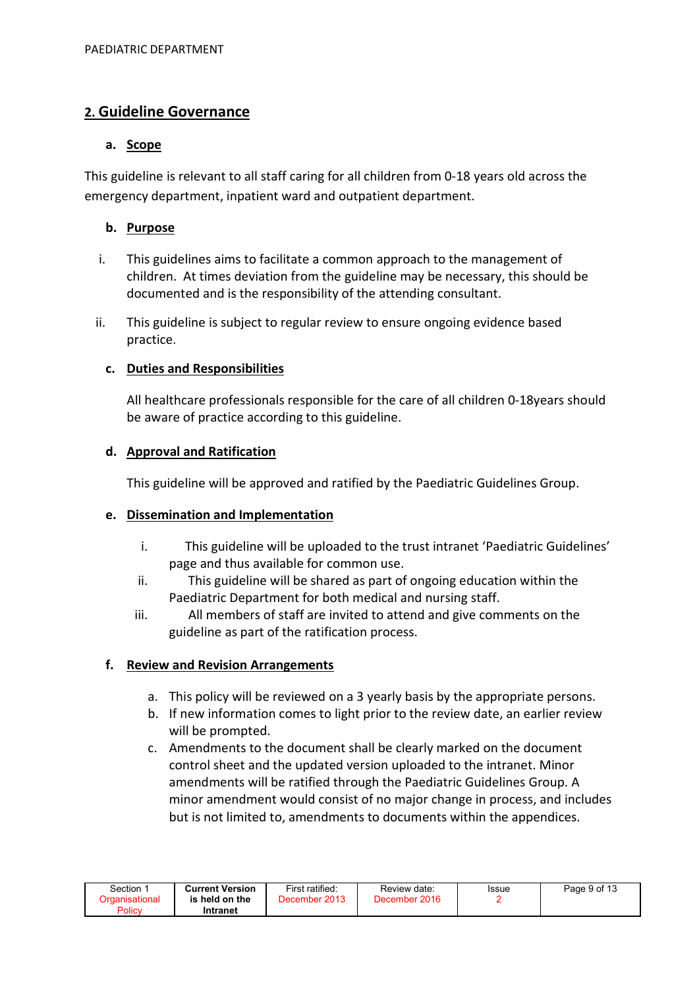## 2. Guideline Governance

### a. Scope

This guideline is relevant to all staff caring for all children from 0-18 years old across the emergency department, inpatient ward and outpatient department.

## b. Purpose

- i. This guidelines aims to facilitate a common approach to the management of children. At times deviation from the guideline may be necessary, this should be documented and is the responsibility of the attending consultant.
- ii. This guideline is subject to regular review to ensure ongoing evidence based practice.

## c. Duties and Responsibilities

All healthcare professionals responsible for the care of all children 0-18years should be aware of practice according to this guideline.

### d. Approval and Ratification

This guideline will be approved and ratified by the Paediatric Guidelines Group.

#### e. Dissemination and Implementation

- i. This guideline will be uploaded to the trust intranet 'Paediatric Guidelines' page and thus available for common use.
- ii. This guideline will be shared as part of ongoing education within the Paediatric Department for both medical and nursing staff.
- iii. All members of staff are invited to attend and give comments on the guideline as part of the ratification process.

## f. Review and Revision Arrangements

- a. This policy will be reviewed on a 3 yearly basis by the appropriate persons.
- b. If new information comes to light prior to the review date, an earlier review will be prompted.
- c. Amendments to the document shall be clearly marked on the document control sheet and the updated version uploaded to the intranet. Minor amendments will be ratified through the Paediatric Guidelines Group. A minor amendment would consist of no major change in process, and includes but is not limited to, amendments to documents within the appendices.

| Section is     | <b>Current Version</b> | First ratified: | Review date:  | <b>Issue</b> | Page 9 of 13 |
|----------------|------------------------|-----------------|---------------|--------------|--------------|
| Organisational | is held on the         | December 2013   | December 2016 |              |              |
| Policy         | Intranet               |                 |               |              |              |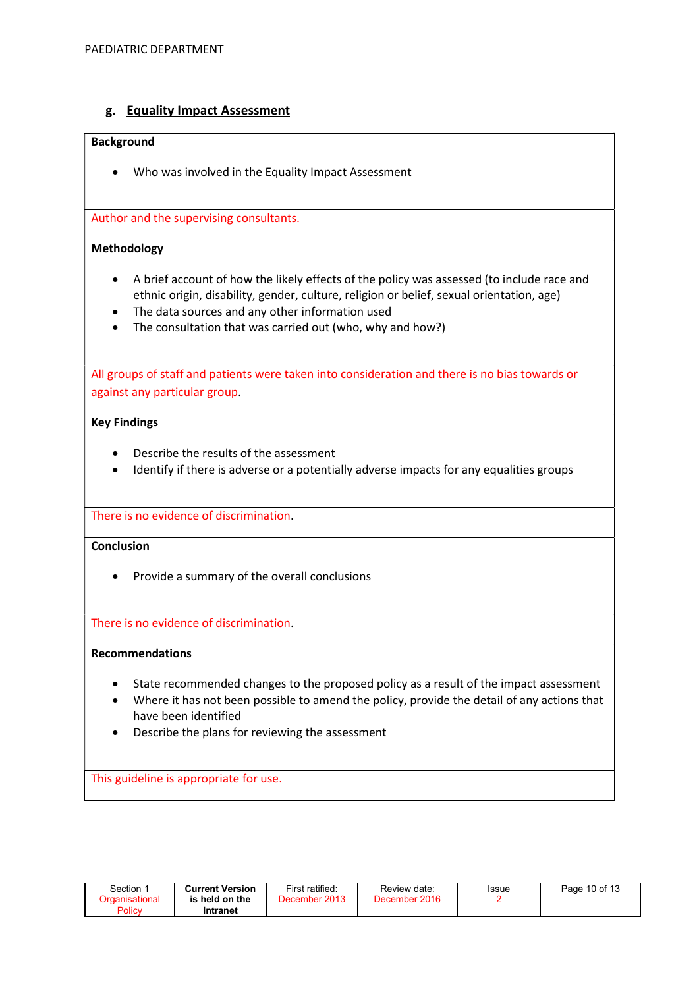## g. Equality Impact Assessment

#### **Background**

Who was involved in the Equality Impact Assessment

Author and the supervising consultants.

#### Methodology

- A brief account of how the likely effects of the policy was assessed (to include race and ethnic origin, disability, gender, culture, religion or belief, sexual orientation, age)
- The data sources and any other information used
- The consultation that was carried out (who, why and how?)

All groups of staff and patients were taken into consideration and there is no bias towards or against any particular group.

#### Key Findings

- Describe the results of the assessment
- Identify if there is adverse or a potentially adverse impacts for any equalities groups

There is no evidence of discrimination.

#### **Conclusion**

• Provide a summary of the overall conclusions

There is no evidence of discrimination.

#### Recommendations

- State recommended changes to the proposed policy as a result of the impact assessment
- Where it has not been possible to amend the policy, provide the detail of any actions that have been identified
- Describe the plans for reviewing the assessment

This guideline is appropriate for use.

|  | Section $\, \dot{} \,$<br>Organisational<br>Policy | <b>Current Version</b><br>is held on the<br>Intranet | First ratified:<br>December 2013 | Review date:<br>December 2016 | Issue | Page 10 of 13 |
|--|----------------------------------------------------|------------------------------------------------------|----------------------------------|-------------------------------|-------|---------------|
|--|----------------------------------------------------|------------------------------------------------------|----------------------------------|-------------------------------|-------|---------------|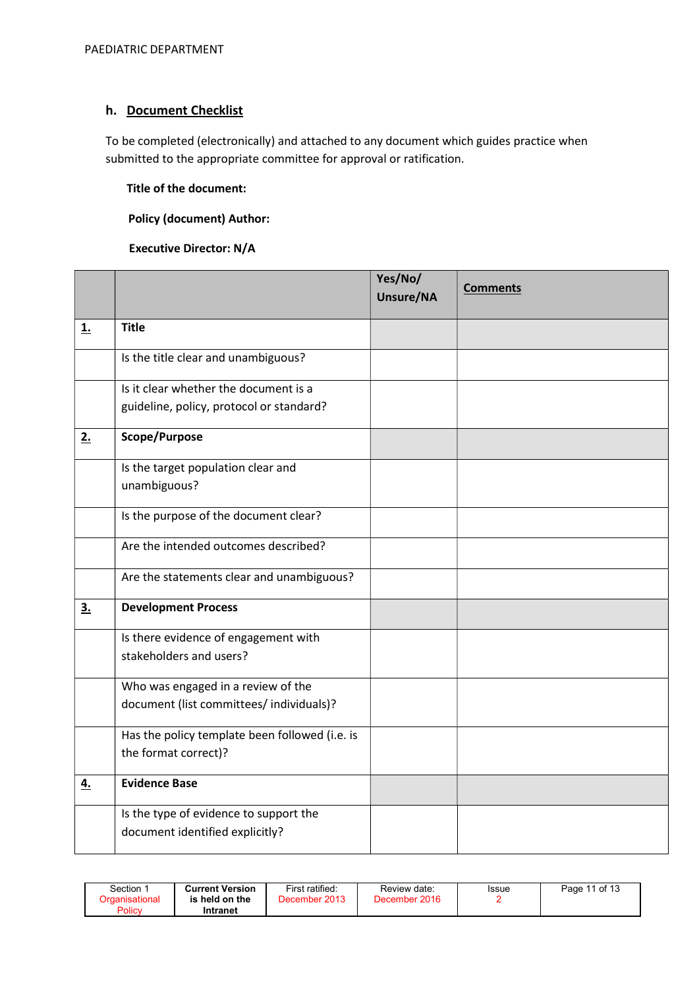## h. Document Checklist

To be completed (electronically) and attached to any document which guides practice when submitted to the appropriate committee for approval or ratification.

#### Title of the document:

#### Policy (document) Author:

#### Executive Director: N/A

|           |                                                | Yes/No/<br>Unsure/NA | <b>Comments</b> |
|-----------|------------------------------------------------|----------------------|-----------------|
| <u>1.</u> | <b>Title</b>                                   |                      |                 |
|           | Is the title clear and unambiguous?            |                      |                 |
|           | Is it clear whether the document is a          |                      |                 |
|           | guideline, policy, protocol or standard?       |                      |                 |
| 2.        | Scope/Purpose                                  |                      |                 |
|           | Is the target population clear and             |                      |                 |
|           | unambiguous?                                   |                      |                 |
|           | Is the purpose of the document clear?          |                      |                 |
|           | Are the intended outcomes described?           |                      |                 |
|           | Are the statements clear and unambiguous?      |                      |                 |
| 3.        | <b>Development Process</b>                     |                      |                 |
|           | Is there evidence of engagement with           |                      |                 |
|           | stakeholders and users?                        |                      |                 |
|           | Who was engaged in a review of the             |                      |                 |
|           | document (list committees/ individuals)?       |                      |                 |
|           | Has the policy template been followed (i.e. is |                      |                 |
|           | the format correct)?                           |                      |                 |
| 4.        | <b>Evidence Base</b>                           |                      |                 |
|           | Is the type of evidence to support the         |                      |                 |
|           | document identified explicitly?                |                      |                 |

| Section <sup>.</sup><br>Organisational<br>Policy | <b>Current Version</b><br>is held on the<br>Intranet | First ratified:<br>December 2013 | Review date:<br>December 2016 | Issue | Page 11 of 13 |
|--------------------------------------------------|------------------------------------------------------|----------------------------------|-------------------------------|-------|---------------|
|--------------------------------------------------|------------------------------------------------------|----------------------------------|-------------------------------|-------|---------------|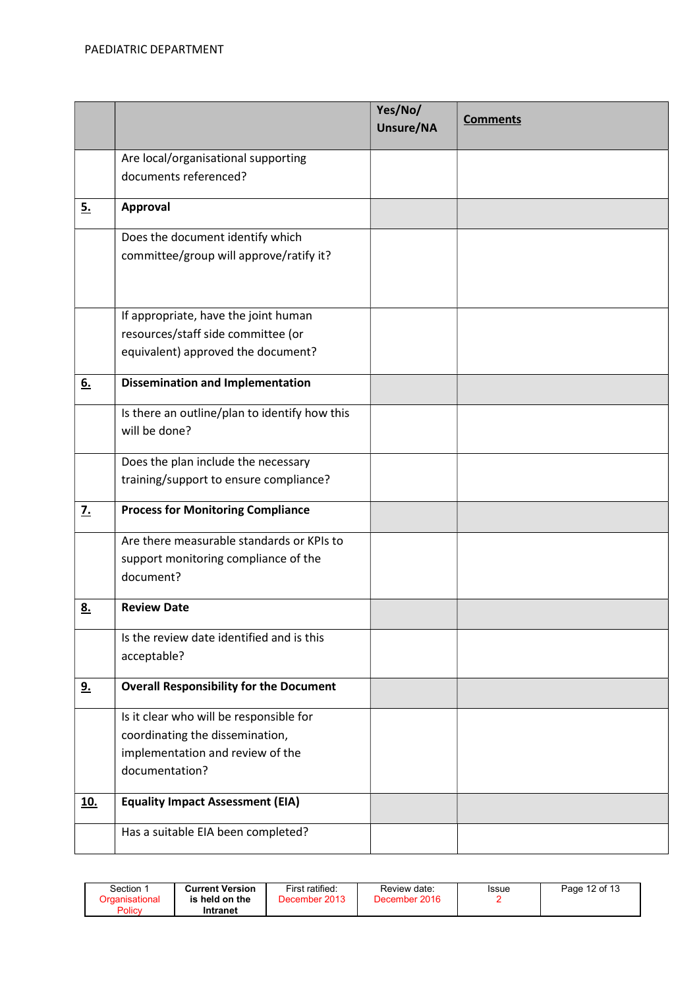|                   |                                                                | Yes/No/   | <b>Comments</b> |
|-------------------|----------------------------------------------------------------|-----------|-----------------|
|                   |                                                                | Unsure/NA |                 |
|                   | Are local/organisational supporting                            |           |                 |
|                   | documents referenced?                                          |           |                 |
| 5.                | Approval                                                       |           |                 |
|                   | Does the document identify which                               |           |                 |
|                   | committee/group will approve/ratify it?                        |           |                 |
|                   |                                                                |           |                 |
|                   | If appropriate, have the joint human                           |           |                 |
|                   | resources/staff side committee (or                             |           |                 |
|                   | equivalent) approved the document?                             |           |                 |
| $\underline{6}$ . | <b>Dissemination and Implementation</b>                        |           |                 |
|                   | Is there an outline/plan to identify how this<br>will be done? |           |                 |
|                   |                                                                |           |                 |
|                   | Does the plan include the necessary                            |           |                 |
|                   | training/support to ensure compliance?                         |           |                 |
| <u>7.</u>         | <b>Process for Monitoring Compliance</b>                       |           |                 |
|                   | Are there measurable standards or KPIs to                      |           |                 |
|                   | support monitoring compliance of the                           |           |                 |
|                   | document?                                                      |           |                 |
| <u>8.</u>         | <b>Review Date</b>                                             |           |                 |
|                   | Is the review date identified and is this                      |           |                 |
|                   | acceptable?                                                    |           |                 |
| 9.                | <b>Overall Responsibility for the Document</b>                 |           |                 |
|                   | Is it clear who will be responsible for                        |           |                 |
|                   | coordinating the dissemination,                                |           |                 |
|                   | implementation and review of the                               |           |                 |
|                   | documentation?                                                 |           |                 |
| <u>10.</u>        | <b>Equality Impact Assessment (EIA)</b>                        |           |                 |
|                   | Has a suitable EIA been completed?                             |           |                 |

| Section ∵<br>Organisational<br>Policy | <b>Current Version</b><br>is held on the<br>Intranet | First ratified:<br>December 2013 | Review date:<br>December 2016 | Issue | Page 12 of 13 |
|---------------------------------------|------------------------------------------------------|----------------------------------|-------------------------------|-------|---------------|
|---------------------------------------|------------------------------------------------------|----------------------------------|-------------------------------|-------|---------------|